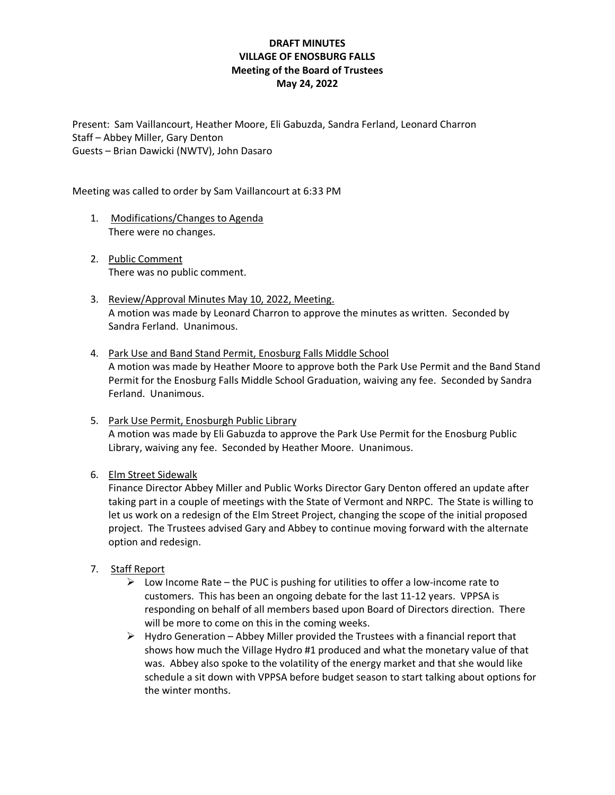## **DRAFT MINUTES VILLAGE OF ENOSBURG FALLS Meeting of the Board of Trustees May 24, 2022**

Present: Sam Vaillancourt, Heather Moore, Eli Gabuzda, Sandra Ferland, Leonard Charron Staff – Abbey Miller, Gary Denton Guests – Brian Dawicki (NWTV), John Dasaro

Meeting was called to order by Sam Vaillancourt at 6:33 PM

- 1. Modifications/Changes to Agenda There were no changes.
- 2. Public Comment There was no public comment.
- 3. Review/Approval Minutes May 10, 2022, Meeting. A motion was made by Leonard Charron to approve the minutes as written. Seconded by Sandra Ferland. Unanimous.
- 4. Park Use and Band Stand Permit, Enosburg Falls Middle School A motion was made by Heather Moore to approve both the Park Use Permit and the Band Stand Permit for the Enosburg Falls Middle School Graduation, waiving any fee. Seconded by Sandra Ferland. Unanimous.
- 5. Park Use Permit, Enosburgh Public Library A motion was made by Eli Gabuzda to approve the Park Use Permit for the Enosburg Public Library, waiving any fee. Seconded by Heather Moore. Unanimous.

### 6. Elm Street Sidewalk

Finance Director Abbey Miller and Public Works Director Gary Denton offered an update after taking part in a couple of meetings with the State of Vermont and NRPC. The State is willing to let us work on a redesign of the Elm Street Project, changing the scope of the initial proposed project. The Trustees advised Gary and Abbey to continue moving forward with the alternate option and redesign.

### 7. Staff Report

- $\triangleright$  Low Income Rate the PUC is pushing for utilities to offer a low-income rate to customers. This has been an ongoing debate for the last 11-12 years. VPPSA is responding on behalf of all members based upon Board of Directors direction. There will be more to come on this in the coming weeks.
- $\triangleright$  Hydro Generation Abbey Miller provided the Trustees with a financial report that shows how much the Village Hydro #1 produced and what the monetary value of that was. Abbey also spoke to the volatility of the energy market and that she would like schedule a sit down with VPPSA before budget season to start talking about options for the winter months.